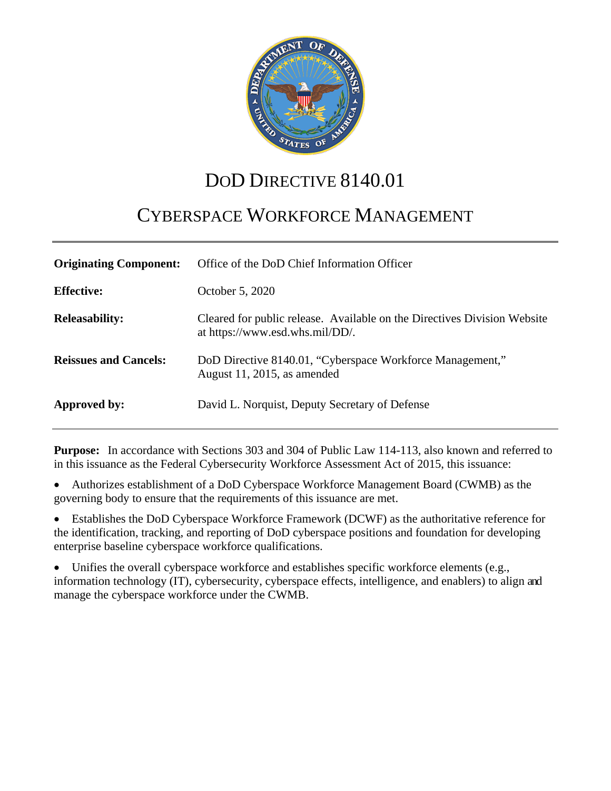

# DOD DIRECTIVE 8140.01

# CYBERSPACE WORKFORCE MANAGEMENT

| <b>Originating Component:</b> | Office of the DoD Chief Information Officer                                                                 |
|-------------------------------|-------------------------------------------------------------------------------------------------------------|
| <b>Effective:</b>             | October 5, 2020                                                                                             |
| <b>Releasability:</b>         | Cleared for public release. Available on the Directives Division Website<br>at https://www.esd.whs.mil/DD/. |
| <b>Reissues and Cancels:</b>  | DoD Directive 8140.01, "Cyberspace Workforce Management,"<br>August 11, 2015, as amended                    |
| Approved by:                  | David L. Norquist, Deputy Secretary of Defense                                                              |

**Purpose:** In accordance with Sections 303 and 304 of Public Law 114-113, also known and referred to in this issuance as the Federal Cybersecurity Workforce Assessment Act of 2015, this issuance:

• Authorizes establishment of a DoD Cyberspace Workforce Management Board (CWMB) as the governing body to ensure that the requirements of this issuance are met.

• Establishes the DoD Cyberspace Workforce Framework (DCWF) as the authoritative reference for the identification, tracking, and reporting of DoD cyberspace positions and foundation for developing enterprise baseline cyberspace workforce qualifications.

• Unifies the overall cyberspace workforce and establishes specific workforce elements (e.g., information technology (IT), cybersecurity, cyberspace effects, intelligence, and enablers) to align and manage the cyberspace workforce under the CWMB.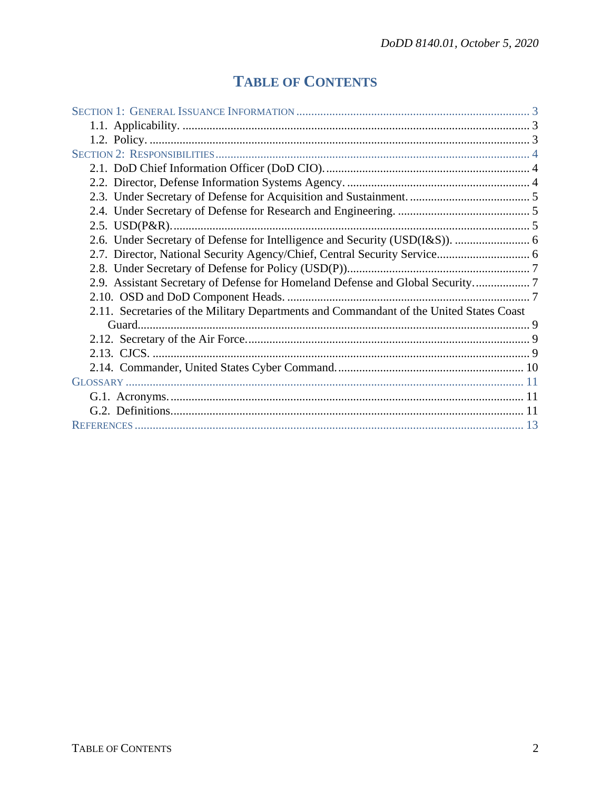## **TABLE OF CONTENTS**

| 2.9. Assistant Secretary of Defense for Homeland Defense and Global Security7           |  |
|-----------------------------------------------------------------------------------------|--|
|                                                                                         |  |
| 2.11. Secretaries of the Military Departments and Commandant of the United States Coast |  |
|                                                                                         |  |
|                                                                                         |  |
|                                                                                         |  |
|                                                                                         |  |
|                                                                                         |  |
|                                                                                         |  |
|                                                                                         |  |
|                                                                                         |  |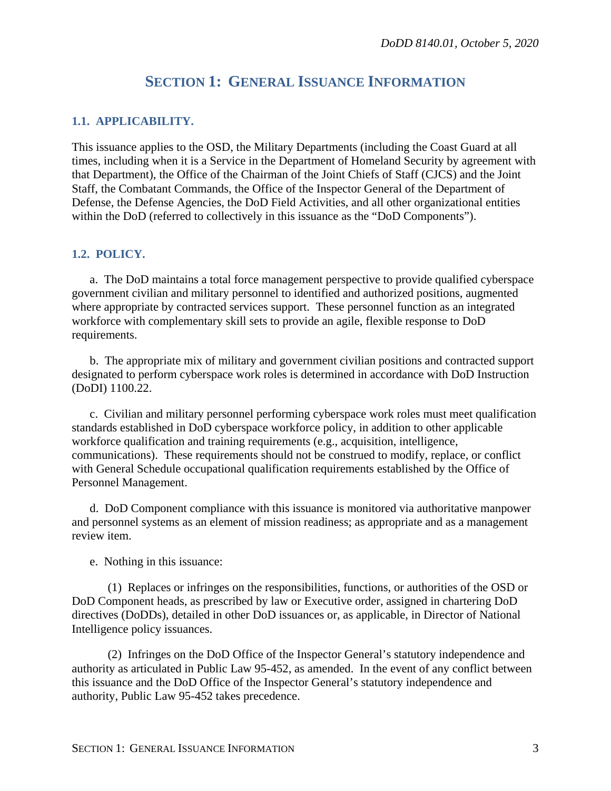## **SECTION 1: GENERAL ISSUANCE INFORMATION**

#### <span id="page-2-1"></span><span id="page-2-0"></span>**1.1. APPLICABILITY.**

This issuance applies to the OSD, the Military Departments (including the Coast Guard at all times, including when it is a Service in the Department of Homeland Security by agreement with that Department), the Office of the Chairman of the Joint Chiefs of Staff (CJCS) and the Joint Staff, the Combatant Commands, the Office of the Inspector General of the Department of Defense, the Defense Agencies, the DoD Field Activities, and all other organizational entities within the DoD (referred to collectively in this issuance as the "DoD Components").

#### <span id="page-2-2"></span>**1.2. POLICY.**

a. The DoD maintains a total force management perspective to provide qualified cyberspace government civilian and military personnel to identified and authorized positions, augmented where appropriate by contracted services support. These personnel function as an integrated workforce with complementary skill sets to provide an agile, flexible response to DoD requirements.

b. The appropriate mix of military and government civilian positions and contracted support designated to perform cyberspace work roles is determined in accordance with DoD Instruction (DoDI) 1100.22.

c. Civilian and military personnel performing cyberspace work roles must meet qualification standards established in DoD cyberspace workforce policy, in addition to other applicable workforce qualification and training requirements (e.g., acquisition, intelligence, communications). These requirements should not be construed to modify, replace, or conflict with General Schedule occupational qualification requirements established by the Office of Personnel Management.

d. DoD Component compliance with this issuance is monitored via authoritative manpower and personnel systems as an element of mission readiness; as appropriate and as a management review item.

e. Nothing in this issuance:

(1) Replaces or infringes on the responsibilities, functions, or authorities of the OSD or DoD Component heads, as prescribed by law or Executive order, assigned in chartering DoD directives (DoDDs), detailed in other DoD issuances or, as applicable, in Director of National Intelligence policy issuances.

(2) Infringes on the DoD Office of the Inspector General's statutory independence and authority as articulated in Public Law 95-452, as amended. In the event of any conflict between this issuance and the DoD Office of the Inspector General's statutory independence and authority, Public Law 95-452 takes precedence.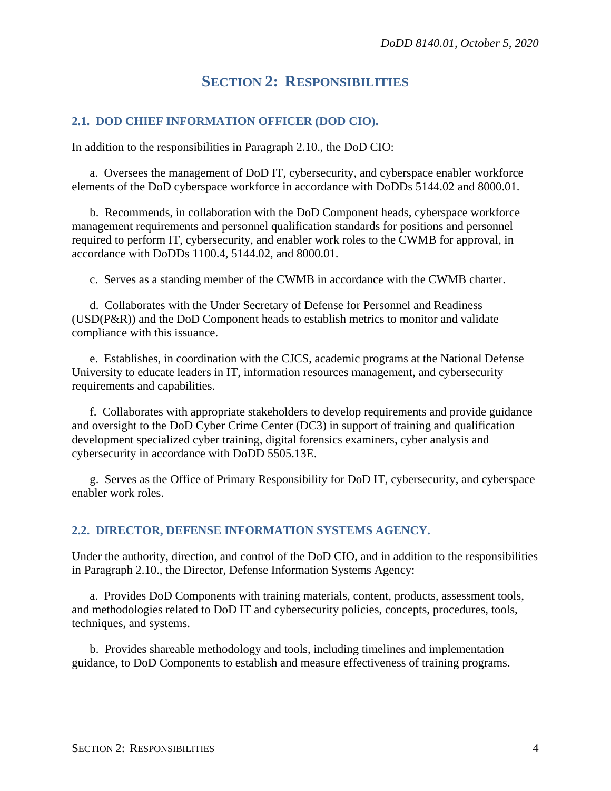## **SECTION 2: RESPONSIBILITIES**

#### <span id="page-3-1"></span><span id="page-3-0"></span>**2.1. DOD CHIEF INFORMATION OFFICER (DOD CIO).**

In addition to the responsibilities in Paragraph 2.10., the DoD CIO:

a. Oversees the management of DoD IT, cybersecurity, and cyberspace enabler workforce elements of the DoD cyberspace workforce in accordance with DoDDs 5144.02 and 8000.01.

b. Recommends, in collaboration with the DoD Component heads, cyberspace workforce management requirements and personnel qualification standards for positions and personnel required to perform IT, cybersecurity, and enabler work roles to the CWMB for approval, in accordance with DoDDs 1100.4, 5144.02, and 8000.01.

c. Serves as a standing member of the CWMB in accordance with the CWMB charter.

d. Collaborates with the Under Secretary of Defense for Personnel and Readiness (USD(P&R)) and the DoD Component heads to establish metrics to monitor and validate compliance with this issuance.

e. Establishes, in coordination with the CJCS, academic programs at the National Defense University to educate leaders in IT, information resources management, and cybersecurity requirements and capabilities.

f. Collaborates with appropriate stakeholders to develop requirements and provide guidance and oversight to the DoD Cyber Crime Center (DC3) in support of training and qualification development specialized cyber training, digital forensics examiners, cyber analysis and cybersecurity in accordance with DoDD 5505.13E.

g. Serves as the Office of Primary Responsibility for DoD IT, cybersecurity, and cyberspace enabler work roles.

#### <span id="page-3-2"></span>**2.2. DIRECTOR, DEFENSE INFORMATION SYSTEMS AGENCY.**

Under the authority, direction, and control of the DoD CIO, and in addition to the responsibilities in Paragraph 2.10., the Director, Defense Information Systems Agency:

a. Provides DoD Components with training materials, content, products, assessment tools, and methodologies related to DoD IT and cybersecurity policies, concepts, procedures, tools, techniques, and systems.

b. Provides shareable methodology and tools, including timelines and implementation guidance, to DoD Components to establish and measure effectiveness of training programs.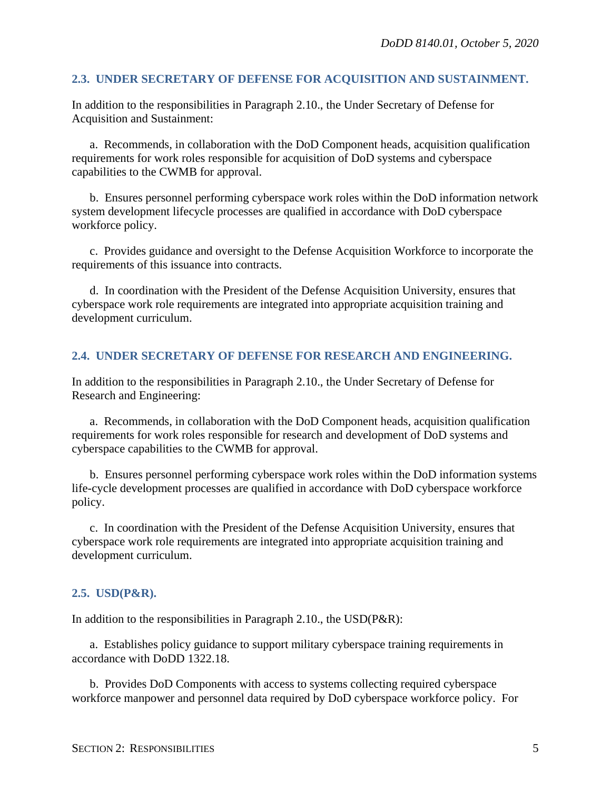#### <span id="page-4-0"></span>**2.3. UNDER SECRETARY OF DEFENSE FOR ACQUISITION AND SUSTAINMENT.**

In addition to the responsibilities in Paragraph 2.10., the Under Secretary of Defense for Acquisition and Sustainment:

a. Recommends, in collaboration with the DoD Component heads, acquisition qualification requirements for work roles responsible for acquisition of DoD systems and cyberspace capabilities to the CWMB for approval.

b. Ensures personnel performing cyberspace work roles within the DoD information network system development lifecycle processes are qualified in accordance with DoD cyberspace workforce policy.

c. Provides guidance and oversight to the Defense Acquisition Workforce to incorporate the requirements of this issuance into contracts.

d. In coordination with the President of the Defense Acquisition University, ensures that cyberspace work role requirements are integrated into appropriate acquisition training and development curriculum.

#### <span id="page-4-1"></span>**2.4. UNDER SECRETARY OF DEFENSE FOR RESEARCH AND ENGINEERING.**

In addition to the responsibilities in Paragraph 2.10., the Under Secretary of Defense for Research and Engineering:

a. Recommends, in collaboration with the DoD Component heads, acquisition qualification requirements for work roles responsible for research and development of DoD systems and cyberspace capabilities to the CWMB for approval.

b. Ensures personnel performing cyberspace work roles within the DoD information systems life-cycle development processes are qualified in accordance with DoD cyberspace workforce policy.

c. In coordination with the President of the Defense Acquisition University, ensures that cyberspace work role requirements are integrated into appropriate acquisition training and development curriculum.

#### <span id="page-4-2"></span>**2.5. USD(P&R).**

In addition to the responsibilities in Paragraph 2.10., the USD(P&R):

a. Establishes policy guidance to support military cyberspace training requirements in accordance with DoDD 1322.18.

b. Provides DoD Components with access to systems collecting required cyberspace workforce manpower and personnel data required by DoD cyberspace workforce policy. For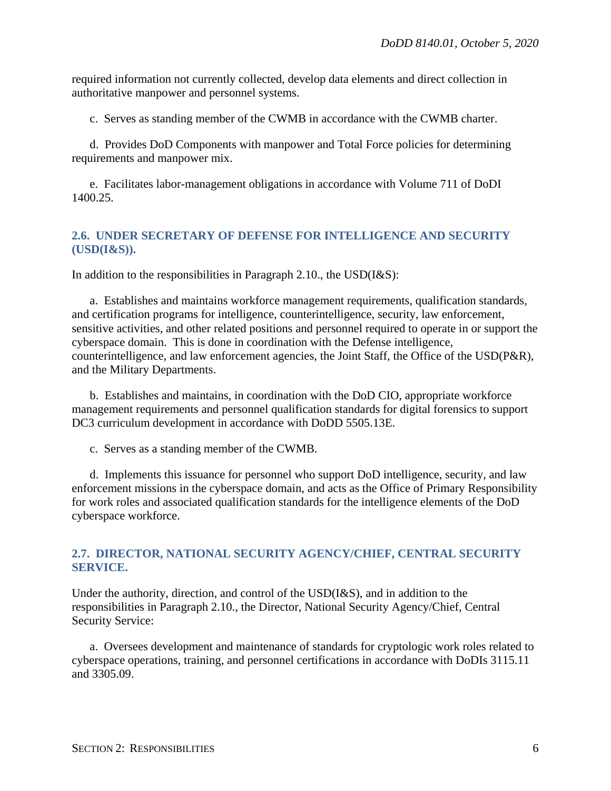required information not currently collected, develop data elements and direct collection in authoritative manpower and personnel systems.

c. Serves as standing member of the CWMB in accordance with the CWMB charter.

d. Provides DoD Components with manpower and Total Force policies for determining requirements and manpower mix.

e. Facilitates labor-management obligations in accordance with Volume 711 of DoDI 1400.25.

#### <span id="page-5-0"></span>**2.6. UNDER SECRETARY OF DEFENSE FOR INTELLIGENCE AND SECURITY (USD(I&S)).**

In addition to the responsibilities in Paragraph 2.10., the USD(I&S):

a. Establishes and maintains workforce management requirements, qualification standards, and certification programs for intelligence, counterintelligence, security, law enforcement, sensitive activities, and other related positions and personnel required to operate in or support the cyberspace domain. This is done in coordination with the Defense intelligence, counterintelligence, and law enforcement agencies, the Joint Staff, the Office of the USD(P&R), and the Military Departments.

b. Establishes and maintains, in coordination with the DoD CIO, appropriate workforce management requirements and personnel qualification standards for digital forensics to support DC3 curriculum development in accordance with DoDD 5505.13E.

c. Serves as a standing member of the CWMB.

d. Implements this issuance for personnel who support DoD intelligence, security, and law enforcement missions in the cyberspace domain, and acts as the Office of Primary Responsibility for work roles and associated qualification standards for the intelligence elements of the DoD cyberspace workforce.

#### <span id="page-5-1"></span>**2.7. DIRECTOR, NATIONAL SECURITY AGENCY/CHIEF, CENTRAL SECURITY SERVICE.**

Under the authority, direction, and control of the USD(I&S), and in addition to the responsibilities in Paragraph 2.10., the Director, National Security Agency/Chief, Central Security Service:

a. Oversees development and maintenance of standards for cryptologic work roles related to cyberspace operations, training, and personnel certifications in accordance with DoDIs 3115.11 and 3305.09.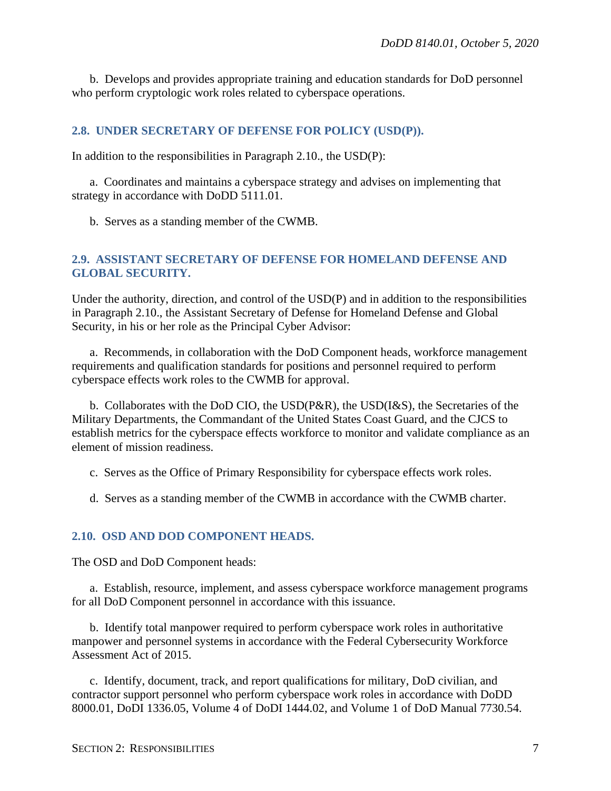b. Develops and provides appropriate training and education standards for DoD personnel who perform cryptologic work roles related to cyberspace operations.

#### <span id="page-6-0"></span>**2.8. UNDER SECRETARY OF DEFENSE FOR POLICY (USD(P)).**

In addition to the responsibilities in Paragraph 2.10., the USD(P):

a. Coordinates and maintains a cyberspace strategy and advises on implementing that strategy in accordance with DoDD 5111.01.

b. Serves as a standing member of the CWMB.

#### <span id="page-6-1"></span>**2.9. ASSISTANT SECRETARY OF DEFENSE FOR HOMELAND DEFENSE AND GLOBAL SECURITY.**

Under the authority, direction, and control of the USD(P) and in addition to the responsibilities in Paragraph 2.10., the Assistant Secretary of Defense for Homeland Defense and Global Security, in his or her role as the Principal Cyber Advisor:

a. Recommends, in collaboration with the DoD Component heads, workforce management requirements and qualification standards for positions and personnel required to perform cyberspace effects work roles to the CWMB for approval.

b. Collaborates with the DoD CIO, the USD(P&R), the USD(I&S), the Secretaries of the Military Departments, the Commandant of the United States Coast Guard, and the CJCS to establish metrics for the cyberspace effects workforce to monitor and validate compliance as an element of mission readiness.

- c. Serves as the Office of Primary Responsibility for cyberspace effects work roles.
- d. Serves as a standing member of the CWMB in accordance with the CWMB charter.

#### <span id="page-6-2"></span>**2.10. OSD AND DOD COMPONENT HEADS.**

The OSD and DoD Component heads:

a. Establish, resource, implement, and assess cyberspace workforce management programs for all DoD Component personnel in accordance with this issuance.

b. Identify total manpower required to perform cyberspace work roles in authoritative manpower and personnel systems in accordance with the Federal Cybersecurity Workforce Assessment Act of 2015.

c. Identify, document, track, and report qualifications for military, DoD civilian, and contractor support personnel who perform cyberspace work roles in accordance with DoDD 8000.01, DoDI 1336.05, Volume 4 of DoDI 1444.02, and Volume 1 of DoD Manual 7730.54.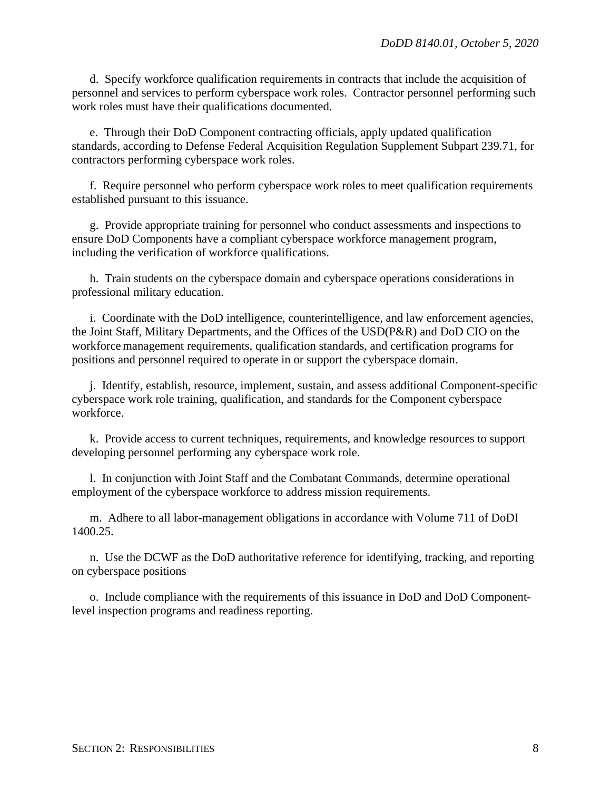d. Specify workforce qualification requirements in contracts that include the acquisition of personnel and services to perform cyberspace work roles. Contractor personnel performing such work roles must have their qualifications documented.

e. Through their DoD Component contracting officials, apply updated qualification standards, according to Defense Federal Acquisition Regulation Supplement Subpart 239.71, for contractors performing cyberspace work roles.

f. Require personnel who perform cyberspace work roles to meet qualification requirements established pursuant to this issuance.

g. Provide appropriate training for personnel who conduct assessments and inspections to ensure DoD Components have a compliant cyberspace workforce management program, including the verification of workforce qualifications.

h. Train students on the cyberspace domain and cyberspace operations considerations in professional military education.

i. Coordinate with the DoD intelligence, counterintelligence, and law enforcement agencies, the Joint Staff, Military Departments, and the Offices of the USD(P&R) and DoD CIO on the workforce management requirements, qualification standards, and certification programs for positions and personnel required to operate in or support the cyberspace domain.

j. Identify, establish, resource, implement, sustain, and assess additional Component-specific cyberspace work role training, qualification, and standards for the Component cyberspace workforce.

k. Provide access to current techniques, requirements, and knowledge resources to support developing personnel performing any cyberspace work role.

l. In conjunction with Joint Staff and the Combatant Commands, determine operational employment of the cyberspace workforce to address mission requirements.

m. Adhere to all labor-management obligations in accordance with Volume 711 of DoDI 1400.25.

n. Use the DCWF as the DoD authoritative reference for identifying, tracking, and reporting on cyberspace positions

o. Include compliance with the requirements of this issuance in DoD and DoD Componentlevel inspection programs and readiness reporting.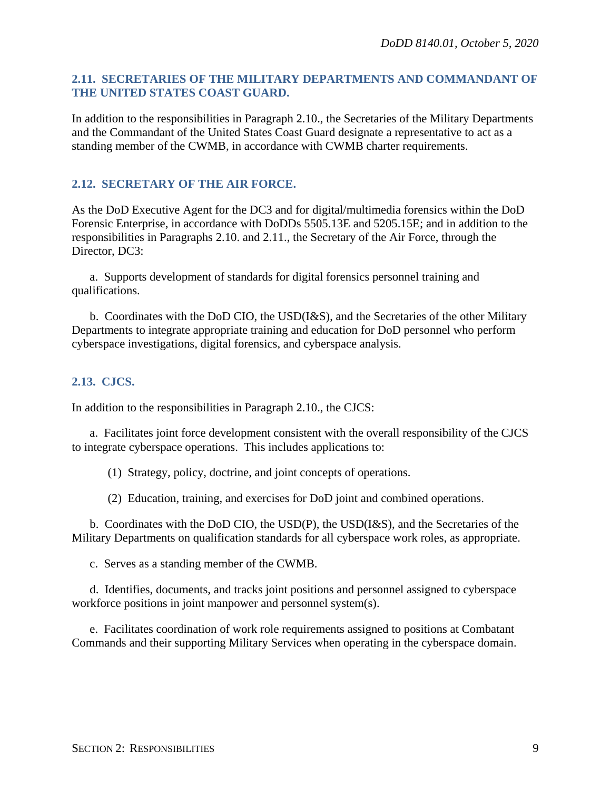#### <span id="page-8-0"></span>**2.11. SECRETARIES OF THE MILITARY DEPARTMENTS AND COMMANDANT OF THE UNITED STATES COAST GUARD.**

In addition to the responsibilities in Paragraph 2.10., the Secretaries of the Military Departments and the Commandant of the United States Coast Guard designate a representative to act as a standing member of the CWMB, in accordance with CWMB charter requirements.

#### <span id="page-8-1"></span>**2.12. SECRETARY OF THE AIR FORCE.**

As the DoD Executive Agent for the DC3 and for digital/multimedia forensics within the DoD Forensic Enterprise, in accordance with DoDDs 5505.13E and 5205.15E; and in addition to the responsibilities in Paragraphs 2.10. and 2.11., the Secretary of the Air Force, through the Director, DC3:

a. Supports development of standards for digital forensics personnel training and qualifications.

b. Coordinates with the DoD CIO, the USD(I&S), and the Secretaries of the other Military Departments to integrate appropriate training and education for DoD personnel who perform cyberspace investigations, digital forensics, and cyberspace analysis.

#### <span id="page-8-2"></span>**2.13. CJCS.**

In addition to the responsibilities in Paragraph 2.10., the CJCS:

a. Facilitates joint force development consistent with the overall responsibility of the CJCS to integrate cyberspace operations. This includes applications to:

(1) Strategy, policy, doctrine, and joint concepts of operations.

(2) Education, training, and exercises for DoD joint and combined operations.

b. Coordinates with the DoD CIO, the USD(P), the USD(I&S), and the Secretaries of the Military Departments on qualification standards for all cyberspace work roles, as appropriate.

c. Serves as a standing member of the CWMB.

d. Identifies, documents, and tracks joint positions and personnel assigned to cyberspace workforce positions in joint manpower and personnel system(s).

e. Facilitates coordination of work role requirements assigned to positions at Combatant Commands and their supporting Military Services when operating in the cyberspace domain.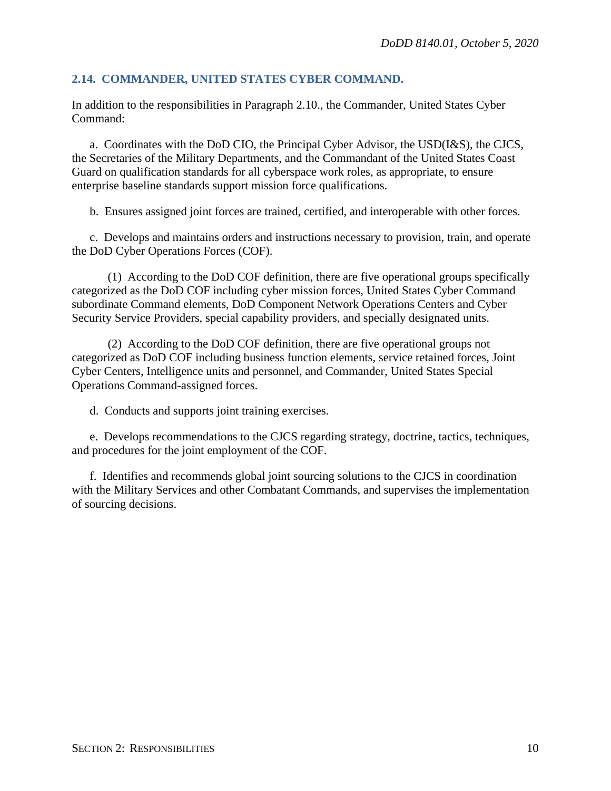#### <span id="page-9-0"></span>**2.14. COMMANDER, UNITED STATES CYBER COMMAND.**

In addition to the responsibilities in Paragraph 2.10., the Commander, United States Cyber Command:

a. Coordinates with the DoD CIO, the Principal Cyber Advisor, the USD(I&S), the CJCS, the Secretaries of the Military Departments, and the Commandant of the United States Coast Guard on qualification standards for all cyberspace work roles, as appropriate, to ensure enterprise baseline standards support mission force qualifications.

b. Ensures assigned joint forces are trained, certified, and interoperable with other forces.

c. Develops and maintains orders and instructions necessary to provision, train, and operate the DoD Cyber Operations Forces (COF).

(1) According to the DoD COF definition, there are five operational groups specifically categorized as the DoD COF including cyber mission forces, United States Cyber Command subordinate Command elements, DoD Component Network Operations Centers and Cyber Security Service Providers, special capability providers, and specially designated units.

(2) According to the DoD COF definition, there are five operational groups not categorized as DoD COF including business function elements, service retained forces, Joint Cyber Centers, Intelligence units and personnel, and Commander, United States Special Operations Command-assigned forces.

d. Conducts and supports joint training exercises.

e. Develops recommendations to the CJCS regarding strategy, doctrine, tactics, techniques, and procedures for the joint employment of the COF.

f. Identifies and recommends global joint sourcing solutions to the CJCS in coordination with the Military Services and other Combatant Commands, and supervises the implementation of sourcing decisions.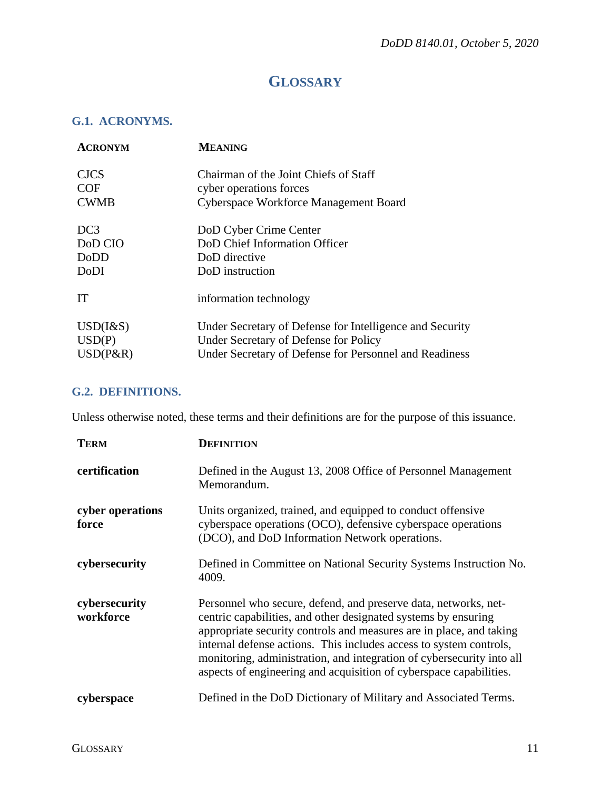## **GLOSSARY**

## <span id="page-10-1"></span><span id="page-10-0"></span>**G.1. ACRONYMS.**

| <b>ACRONYM</b>  | <b>MEANING</b>                                           |
|-----------------|----------------------------------------------------------|
| <b>CJCS</b>     | Chairman of the Joint Chiefs of Staff                    |
| <b>COF</b>      | cyber operations forces                                  |
| <b>CWMB</b>     | Cyberspace Workforce Management Board                    |
| DC <sub>3</sub> | DoD Cyber Crime Center                                   |
| DoD CIO         | DoD Chief Information Officer                            |
| DoDD            | DoD directive                                            |
| <b>DoDI</b>     | DoD instruction                                          |
| <b>IT</b>       | information technology                                   |
| $USD(I\&S)$     | Under Secretary of Defense for Intelligence and Security |
| USD(P)          | Under Secretary of Defense for Policy                    |
| $USD(P\&R)$     | Under Secretary of Defense for Personnel and Readiness   |

## <span id="page-10-2"></span>**G.2. DEFINITIONS.**

Unless otherwise noted, these terms and their definitions are for the purpose of this issuance.

| <b>TERM</b>                | <b>DEFINITION</b>                                                                                                                                                                                                                                                                                                                                                                                                             |
|----------------------------|-------------------------------------------------------------------------------------------------------------------------------------------------------------------------------------------------------------------------------------------------------------------------------------------------------------------------------------------------------------------------------------------------------------------------------|
| certification              | Defined in the August 13, 2008 Office of Personnel Management<br>Memorandum.                                                                                                                                                                                                                                                                                                                                                  |
| cyber operations<br>force  | Units organized, trained, and equipped to conduct offensive<br>cyberspace operations (OCO), defensive cyberspace operations<br>(DCO), and DoD Information Network operations.                                                                                                                                                                                                                                                 |
| cybersecurity              | Defined in Committee on National Security Systems Instruction No.<br>4009.                                                                                                                                                                                                                                                                                                                                                    |
| cybersecurity<br>workforce | Personnel who secure, defend, and preserve data, networks, net-<br>centric capabilities, and other designated systems by ensuring<br>appropriate security controls and measures are in place, and taking<br>internal defense actions. This includes access to system controls,<br>monitoring, administration, and integration of cybersecurity into all<br>aspects of engineering and acquisition of cyberspace capabilities. |
| cyberspace                 | Defined in the DoD Dictionary of Military and Associated Terms.                                                                                                                                                                                                                                                                                                                                                               |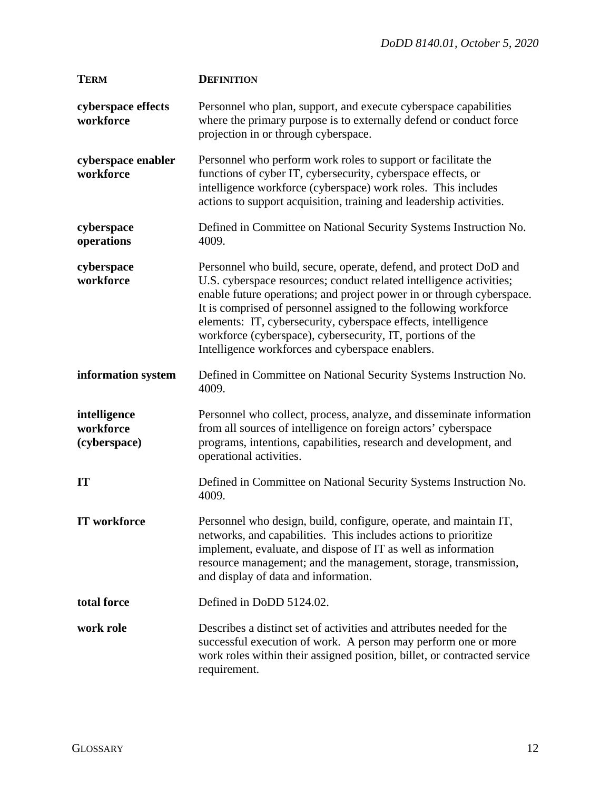| <b>TERM</b>                               | <b>DEFINITION</b>                                                                                                                                                                                                                                                                                                                                                                                                                                                        |
|-------------------------------------------|--------------------------------------------------------------------------------------------------------------------------------------------------------------------------------------------------------------------------------------------------------------------------------------------------------------------------------------------------------------------------------------------------------------------------------------------------------------------------|
| cyberspace effects<br>workforce           | Personnel who plan, support, and execute cyberspace capabilities<br>where the primary purpose is to externally defend or conduct force<br>projection in or through cyberspace.                                                                                                                                                                                                                                                                                           |
| cyberspace enabler<br>workforce           | Personnel who perform work roles to support or facilitate the<br>functions of cyber IT, cybersecurity, cyberspace effects, or<br>intelligence workforce (cyberspace) work roles. This includes<br>actions to support acquisition, training and leadership activities.                                                                                                                                                                                                    |
| cyberspace<br>operations                  | Defined in Committee on National Security Systems Instruction No.<br>4009.                                                                                                                                                                                                                                                                                                                                                                                               |
| cyberspace<br>workforce                   | Personnel who build, secure, operate, defend, and protect DoD and<br>U.S. cyberspace resources; conduct related intelligence activities;<br>enable future operations; and project power in or through cyberspace.<br>It is comprised of personnel assigned to the following workforce<br>elements: IT, cybersecurity, cyberspace effects, intelligence<br>workforce (cyberspace), cybersecurity, IT, portions of the<br>Intelligence workforces and cyberspace enablers. |
| information system                        | Defined in Committee on National Security Systems Instruction No.<br>4009.                                                                                                                                                                                                                                                                                                                                                                                               |
| intelligence<br>workforce<br>(cyberspace) | Personnel who collect, process, analyze, and disseminate information<br>from all sources of intelligence on foreign actors' cyberspace<br>programs, intentions, capabilities, research and development, and<br>operational activities.                                                                                                                                                                                                                                   |
| IT                                        | Defined in Committee on National Security Systems Instruction No.<br>4009.                                                                                                                                                                                                                                                                                                                                                                                               |
| IT workforce                              | Personnel who design, build, configure, operate, and maintain IT,<br>networks, and capabilities. This includes actions to prioritize<br>implement, evaluate, and dispose of IT as well as information<br>resource management; and the management, storage, transmission,<br>and display of data and information.                                                                                                                                                         |
| total force                               | Defined in DoDD 5124.02.                                                                                                                                                                                                                                                                                                                                                                                                                                                 |
| work role                                 | Describes a distinct set of activities and attributes needed for the<br>successful execution of work. A person may perform one or more<br>work roles within their assigned position, billet, or contracted service<br>requirement.                                                                                                                                                                                                                                       |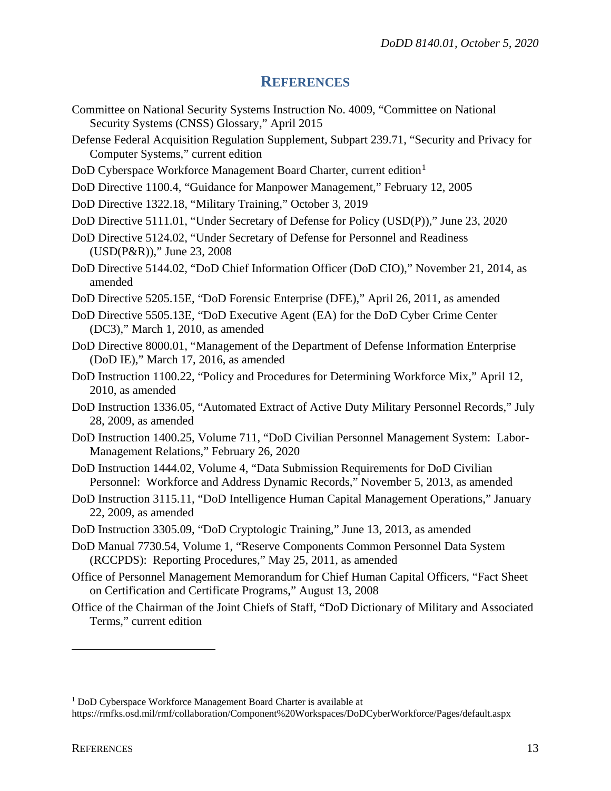#### **REFERENCES**

- <span id="page-12-0"></span>Committee on National Security Systems Instruction No. 4009, "Committee on National Security Systems (CNSS) Glossary," April 2015
- Defense Federal Acquisition Regulation Supplement, Subpart 239.71, "Security and Privacy for Computer Systems," current edition
- DoD Cyberspace Workforce Management Board Charter, current edition<sup>[1](#page-12-1)</sup>
- DoD Directive 1100.4, "Guidance for Manpower Management," February 12, 2005
- DoD Directive 1322.18, "Military Training," October 3, 2019
- DoD Directive 5111.01, "Under Secretary of Defense for Policy (USD(P))," June 23, 2020
- DoD Directive 5124.02, "Under Secretary of Defense for Personnel and Readiness (USD(P&R))," June 23, 2008
- DoD Directive 5144.02, "DoD Chief Information Officer (DoD CIO)," November 21, 2014, as amended
- DoD Directive 5205.15E, "DoD Forensic Enterprise (DFE)," April 26, 2011, as amended
- DoD Directive 5505.13E, "DoD Executive Agent (EA) for the DoD Cyber Crime Center (DC3)," March 1, 2010, as amended
- DoD Directive 8000.01, "Management of the Department of Defense Information Enterprise (DoD IE)," March 17, 2016, as amended
- DoD Instruction 1100.22, "Policy and Procedures for Determining Workforce Mix," April 12, 2010, as amended
- DoD Instruction 1336.05, "Automated Extract of Active Duty Military Personnel Records," July 28, 2009, as amended
- DoD Instruction 1400.25, Volume 711, "DoD Civilian Personnel Management System: Labor-Management Relations," February 26, 2020
- DoD Instruction 1444.02, Volume 4, "Data Submission Requirements for DoD Civilian Personnel: Workforce and Address Dynamic Records," November 5, 2013, as amended
- DoD Instruction 3115.11, "DoD Intelligence Human Capital Management Operations," January 22, 2009, as amended
- DoD Instruction 3305.09, "DoD Cryptologic Training," June 13, 2013, as amended
- DoD Manual 7730.54, Volume 1, "Reserve Components Common Personnel Data System (RCCPDS): Reporting Procedures," May 25, 2011, as amended
- Office of Personnel Management Memorandum for Chief Human Capital Officers, "Fact Sheet on Certification and Certificate Programs," August 13, 2008
- Office of the Chairman of the Joint Chiefs of Staff, "DoD Dictionary of Military and Associated Terms," current edition

 $\overline{a}$ 

<span id="page-12-1"></span><sup>1</sup> DoD Cyberspace Workforce Management Board Charter is available at

https://rmfks.osd.mil/rmf/collaboration/Component%20Workspaces/DoDCyberWorkforce/Pages/default.aspx